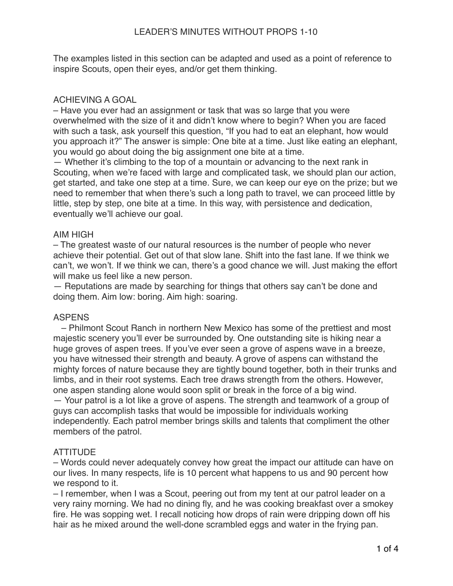The examples listed in this section can be adapted and used as a point of reference to inspire Scouts, open their eyes, and/or get them thinking.

## ACHIEVING A GOAL

– Have you ever had an assignment or task that was so large that you were overwhelmed with the size of it and didn't know where to begin? When you are faced with such a task, ask yourself this question, "If you had to eat an elephant, how would you approach it?" The answer is simple: One bite at a time. Just like eating an elephant, you would go about doing the big assignment one bite at a time.

— Whether it's climbing to the top of a mountain or advancing to the next rank in Scouting, when we're faced with large and complicated task, we should plan our action, get started, and take one step at a time. Sure, we can keep our eye on the prize; but we need to remember that when there's such a long path to travel, we can proceed little by little, step by step, one bite at a time. In this way, with persistence and dedication, eventually we'll achieve our goal.

#### AIM HIGH

– The greatest waste of our natural resources is the number of people who never achieve their potential. Get out of that slow lane. Shift into the fast lane. If we think we can't, we won't. If we think we can, there's a good chance we will. Just making the effort will make us feel like a new person.

— Reputations are made by searching for things that others say can't be done and doing them. Aim low: boring. Aim high: soaring.

#### ASPENS

 – Philmont Scout Ranch in northern New Mexico has some of the prettiest and most majestic scenery you'll ever be surrounded by. One outstanding site is hiking near a huge groves of aspen trees. If you've ever seen a grove of aspens wave in a breeze, you have witnessed their strength and beauty. A grove of aspens can withstand the mighty forces of nature because they are tightly bound together, both in their trunks and limbs, and in their root systems. Each tree draws strength from the others. However, one aspen standing alone would soon split or break in the force of a big wind. — Your patrol is a lot like a grove of aspens. The strength and teamwork of a group of guys can accomplish tasks that would be impossible for individuals working independently. Each patrol member brings skills and talents that compliment the other members of the patrol.

# **ATTITUDE**

– Words could never adequately convey how great the impact our attitude can have on our lives. In many respects, life is 10 percent what happens to us and 90 percent how we respond to it.

– I remember, when I was a Scout, peering out from my tent at our patrol leader on a very rainy morning. We had no dining fly, and he was cooking breakfast over a smokey fire. He was sopping wet. I recall noticing how drops of rain were dripping down off his hair as he mixed around the well-done scrambled eggs and water in the frying pan.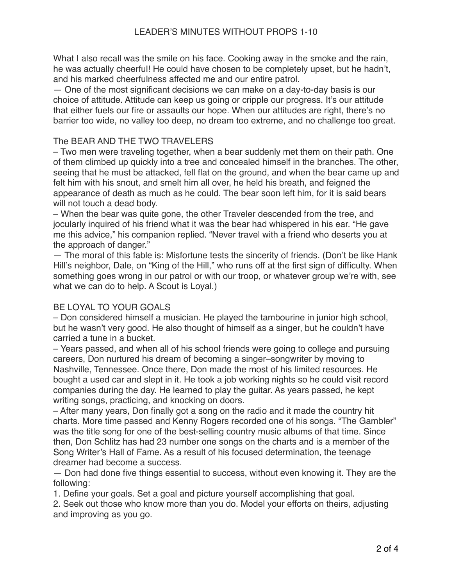What I also recall was the smile on his face. Cooking away in the smoke and the rain, he was actually cheerful! He could have chosen to be completely upset, but he hadn't, and his marked cheerfulness affected me and our entire patrol.

— One of the most significant decisions we can make on a day-to-day basis is our choice of attitude. Attitude can keep us going or cripple our progress. It's our attitude that either fuels our fire or assaults our hope. When our attitudes are right, there's no barrier too wide, no valley too deep, no dream too extreme, and no challenge too great.

#### The BEAR AND THE TWO TRAVELERS

– Two men were traveling together, when a bear suddenly met them on their path. One of them climbed up quickly into a tree and concealed himself in the branches. The other, seeing that he must be attacked, fell flat on the ground, and when the bear came up and felt him with his snout, and smelt him all over, he held his breath, and feigned the appearance of death as much as he could. The bear soon left him, for it is said bears will not touch a dead body.

– When the bear was quite gone, the other Traveler descended from the tree, and jocularly inquired of his friend what it was the bear had whispered in his ear. "He gave me this advice," his companion replied. "Never travel with a friend who deserts you at the approach of danger."

— The moral of this fable is: Misfortune tests the sincerity of friends. (Don't be like Hank Hill's neighbor, Dale, on "King of the Hill," who runs off at the first sign of difficulty. When something goes wrong in our patrol or with our troop, or whatever group we're with, see what we can do to help. A Scout is Loyal.)

#### BE LOYAL TO YOUR GOALS

– Don considered himself a musician. He played the tambourine in junior high school, but he wasn't very good. He also thought of himself as a singer, but he couldn't have carried a tune in a bucket.

– Years passed, and when all of his school friends were going to college and pursuing careers, Don nurtured his dream of becoming a singer–songwriter by moving to Nashville, Tennessee. Once there, Don made the most of his limited resources. He bought a used car and slept in it. He took a job working nights so he could visit record companies during the day. He learned to play the guitar. As years passed, he kept writing songs, practicing, and knocking on doors.

– After many years, Don finally got a song on the radio and it made the country hit charts. More time passed and Kenny Rogers recorded one of his songs. "The Gambler" was the title song for one of the best-selling country music albums of that time. Since then, Don Schlitz has had 23 number one songs on the charts and is a member of the Song Writer's Hall of Fame. As a result of his focused determination, the teenage dreamer had become a success.

— Don had done five things essential to success, without even knowing it. They are the following:

1. Define your goals. Set a goal and picture yourself accomplishing that goal.

2. Seek out those who know more than you do. Model your efforts on theirs, adjusting and improving as you go.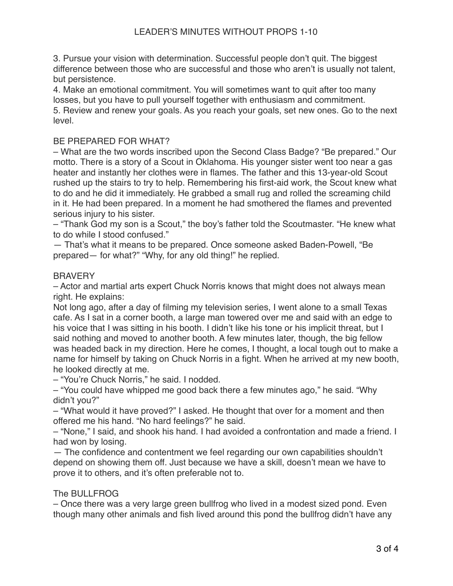3. Pursue your vision with determination. Successful people don't quit. The biggest difference between those who are successful and those who aren't is usually not talent, but persistence.

4. Make an emotional commitment. You will sometimes want to quit after too many losses, but you have to pull yourself together with enthusiasm and commitment. 5. Review and renew your goals. As you reach your goals, set new ones. Go to the next level.

### BE PREPARED FOR WHAT?

– What are the two words inscribed upon the Second Class Badge? "Be prepared." Our motto. There is a story of a Scout in Oklahoma. His younger sister went too near a gas heater and instantly her clothes were in flames. The father and this 13-year-old Scout rushed up the stairs to try to help. Remembering his first-aid work, the Scout knew what to do and he did it immediately. He grabbed a small rug and rolled the screaming child in it. He had been prepared. In a moment he had smothered the flames and prevented serious injury to his sister.

– "Thank God my son is a Scout," the boy's father told the Scoutmaster. "He knew what to do while I stood confused."

— That's what it means to be prepared. Once someone asked Baden-Powell, "Be prepared— for what?" "Why, for any old thing!" he replied.

#### **BRAVERY**

– Actor and martial arts expert Chuck Norris knows that might does not always mean right. He explains:

Not long ago, after a day of filming my television series, I went alone to a small Texas cafe. As I sat in a corner booth, a large man towered over me and said with an edge to his voice that I was sitting in his booth. I didn't like his tone or his implicit threat, but I said nothing and moved to another booth. A few minutes later, though, the big fellow was headed back in my direction. Here he comes, I thought, a local tough out to make a name for himself by taking on Chuck Norris in a fight. When he arrived at my new booth, he looked directly at me.

– "You're Chuck Norris," he said. I nodded.

– "You could have whipped me good back there a few minutes ago," he said. "Why didn't you?"

– "What would it have proved?" I asked. He thought that over for a moment and then offered me his hand. "No hard feelings?" he said.

– "None," I said, and shook his hand. I had avoided a confrontation and made a friend. I had won by losing.

— The confidence and contentment we feel regarding our own capabilities shouldn't depend on showing them off. Just because we have a skill, doesn't mean we have to prove it to others, and it's often preferable not to.

#### The BULLFROG

– Once there was a very large green bullfrog who lived in a modest sized pond. Even though many other animals and fish lived around this pond the bullfrog didn't have any